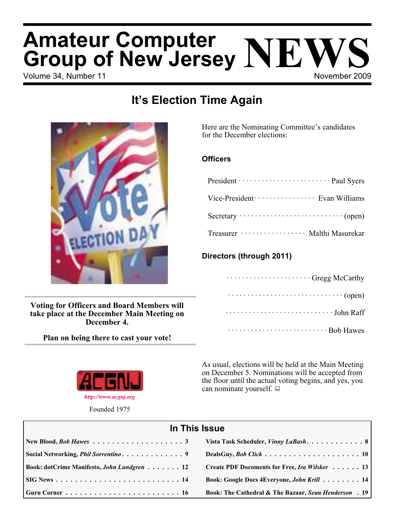# Volume 34, Number 11 November 2009 **Amateur Computer Group of New Jersey NEWS**

## **It's Election Time Again**



**Voting for Officers and Board Members will take place at the December Main Meeting on December 4.**

**Plan on being there to cast your vote!**



Founded 1975

Here are the Nominating Committee's candidates for the December elections:

#### **Officers**

| President ······························· Paul Syers |
|------------------------------------------------------|
| Vice-President ····················· Evan Williams   |
|                                                      |
| Treasurer ·················· Malthi Masurekar        |

### **Directors (through 2011)**

| Gregg McCarthy                                                          |
|-------------------------------------------------------------------------|
| $\cdots \cdots \cdots \cdots \cdots \cdots \cdots \cdots \cdots (open)$ |
| $\cdots \cdots \cdots \cdots \cdots \cdots \cdots$ John Raff            |
| Bob Hawes                                                               |

As usual, elections will be held at the Main Meeting on December 5. Nominations will be accepted from the floor until the actual voting begins, and yes, you can nominate yourself.  $\Box$ 

| In This Issue                               |                                                                  |  |  |  |
|---------------------------------------------|------------------------------------------------------------------|--|--|--|
|                                             |                                                                  |  |  |  |
| Social Networking, <i>Phil Sorrentino</i> 9 |                                                                  |  |  |  |
| Book: dotCrime Manifesto, John Lundgren 12  | Create PDF Docoments for Free, Ira Wilsker 13                    |  |  |  |
|                                             | Book: Google Docs 4Everyone, John Krill 14                       |  |  |  |
|                                             | <b>Book: The Cathedral &amp; The Bazaar, Sean Henderson</b> . 19 |  |  |  |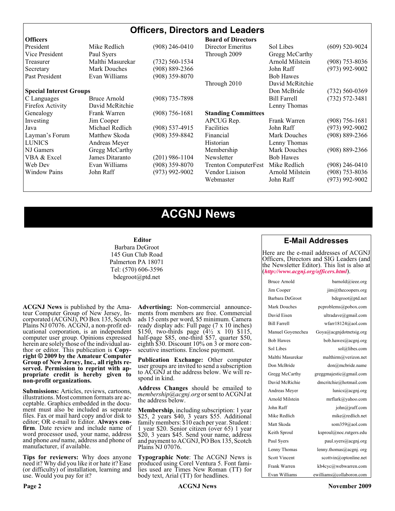#### **Officers, Directors and Leaders Officers Board of Directors**<br> **President Director Mike Redlich** (908) 246-0410 Director Emeritus President Mike Redlich (908) 246-0410 Director Emeritus Sol Libes (609) 520-9024 Vice President Paul Syers **Property** Through 2009 Gregg McCarthy Treasurer Malthi Masurekar (732) 560-1534 Arnold Milstein (908) 753-8036 Secretary Mark Douches (908) 889-2366 John Raff (973) 992-9002 Past President Evan Williams (908) 359-8070 Bob Hawes Through 2010 David McRitchie **Special Interest Groups Don McBride** (732) 560-0369 C Languages Bruce Arnold (908) 735-7898 Bill Farrell (732) 572-3481 Firefox Activity David McRitchie Lenny Thomas Genealogy Frank Warren (908) 756-1681 **Standing Committees** Investing Jim Cooper APCUG Rep. Frank Warren (908) 756-1681 Java Michael Redlich (908) 537-4915 Facilities John Raff (973) 992-9002 Layman's Forum Matthew Skoda (908) 359-8842 Financial Mark Douches (908) 889-2366 LUNICS Andreas Meyer Historian Historian Lenny Thomas NJ Gamers Gregg McCarthy Membership Mark Douches (908) 889-2366 VBA & Excel James Ditaranto (201) 986-1104 Newsletter Bob Hawes Web Dev Evan Williams (908) 359-8070 Trenton ComputerFest Mike Redlich (908) 246-0410 Window Pains John Raff (973) 992-9002 Vendor Liaison Arnold Milstein (908) 753-8036 Webmaster John Raff (973) 992-9002

### **ACGNJ News**

#### **Editor**

Barbara DeGroot 145 Gun Club Road Palmerton PA 18071 Tel: (570) 606-3596 bdegroot@ptd.net

**ACGNJ News** is published by the Ama- teur Computer Group of New Jersey, In- corporated (ACGNJ), PO Box 135, Scotch Plains NJ 07076. ACGNJ, a non-profit ed-<br>ucational corporation, is an independent computer user group. Opinions expressed herein are solely those of the individual author or editor. This publication is **Copy-**<br>**right** © 2009 by the Amateur Computer<br>**Group of New Jersey, Inc., all rights re-Group of New Jersey, Inc., all rights re- served. Permission to reprint with ap- propriate credit is hereby given to non-profit organizations.**

**Submissions:** Articles, reviews, cartoons, illustrations. Most common formats are ac- ceptable. Graphics embedded in the docu- ment must also be included as separate files. Fax or mail hard copy and/or disk to editor; OR e-mail to Editor. Always confirm. Date review and include name of word processor used, your name, address and phone *and* name, address and phone of manufacturer, if available.

**Tips for reviewers:** Why does anyone need it? Why did you like it or hate it? Ease (or difficulty) of installation, learning and use. Would you pay for it?

**Advertising:** Non-commercial announce- ments from members are free. Commercial ads 15 cents per word, \$5 minimum. Camera ready display ads: Full page (7 x 10 inches) \$150, two-thirds page  $(4\frac{1}{2} \times 10)$  \$115, half-page \$85, one-third \$57, quarter \$50, eighth \$30. Discount 10% on 3 or more con- secutive insertions. Enclose payment.

**Publication Exchange:** Other computer user groups are invited to send a subscription to ACGNJ at the address below. We will re- spond in kind.

**Address Changes** should be emailed to *membership@acgnj.org* or sent to ACGNJ at the address below.

**Membership**, including subscription: 1 year \$25, 2 years \$40, 3 years \$55. Additional family members: \$10 each per year. Student : 1 year \$20. Senior citizen (over 65) 1 year \$20, 3 years \$45. Send your name, address and payment to ACGNJ, PO Box 135, Scotch Plains NJ 07076.

**Typographic Note**: The ACGNJ News is produced using Corel Ventura 5. Font fami- lies used are Times New Roman (TT) for body text, Arial (TT) for headlines.

#### **E-Mail Addresses**

Here are the e-mail addresses of ACGNJ Officers, Directors and SIG Leaders (and the Newsletter Editor). This list is also at (*<http://www.acgnj.org/officers.html>*).

| Bruce Arnold         | barnold@ieee.org                     |
|----------------------|--------------------------------------|
| Jim Cooper           | jim@thecoopers.org                   |
| Barbara DeGroot      | bdegroot@ptd.net                     |
| Mark Douches         | pcproblems@pobox.com                 |
| David Eisen          | ultradave@gmail.com                  |
| <b>Bill Farrell</b>  | wfarr18124@aol.com                   |
| Manuel Goyenechea    | Goya@acgnidotnetsig.org              |
| <b>Bob Hawes</b>     | bob.hawes@acgnj.org                  |
| Sol Libes            | sol@libes.com                        |
| Malthi Masurekar     | malthirm@verizon.net                 |
| Don McBride          | don@mcbride.name                     |
| Gregg McCarthy       | greggmajestic@gmail.com              |
| David McRichie       | dmcritchie@hotmail.com               |
| Andreas Meyer        | lunics@acgnj.org                     |
| Arnold Milstein      | mrflark@yahoo.com                    |
| John Raff            | $\overline{\text{iohn}(a)}$ raff.com |
| Mike Redlich         | mike@redlich.net                     |
| Matt Skoda           | som359@aol.com                       |
| Keith Sproul         | ksproul@noc.rutgers.edu              |
| Paul Syers           | paul.syers@acgnj.org                 |
| Lenny Thomas         | lenny.thomas@acgnj.org               |
| <b>Scott Vincent</b> | scottvin@optonline.net               |
| Frank Warren         | kb4cyc@webwarren.com                 |
| Evan Williams        | ewilliams@collaboron.com             |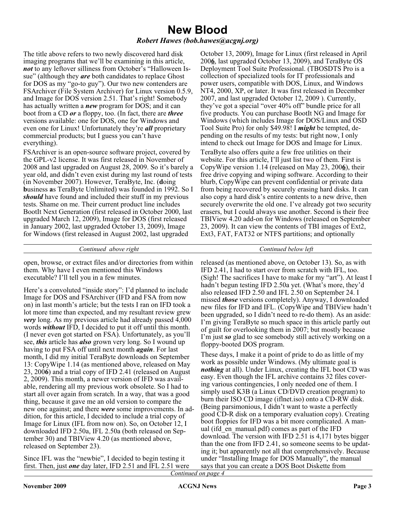### **New Blood**

#### *Robert Hawes (bob.hawes@acgnj.org)*

The title above refers to two newly discovered hard disk imaging programs that we'll be examining in this article, *not* to any leftover silliness from October's "Halloween Issue" (although they *are* both candidates to replace Ghost for DOS as my "go-to guy"). Our two new contenders are FSArchiver (File System Archiver) for Linux version 0.5.9, and Image for DOS version 2.51. That's right! Somebody has actually written a *new* program for DOS; and it can boot from a CD *or* a floppy, too. (In fact, there are *three* versions available: one for DOS, one for Windows and even one for Linux! Unfortunately they're *all* proprietary commercial products; but I guess you can't have everything).

FSArchiver is an open-source software project, covered by the GPL-v2 license. It was first released in November of 2008 and last upgraded on August 28, 2009. So it's barely a year old, and didn't even exist during my last round of tests (in November 2007). However, TeraByte, Inc. (**d**oing **b**usiness **a**s TeraByte Unlimited) was founded in 1992. So I *should* have found and included their stuff in my previous tests. Shame on me. Their current product line includes BootIt Next Generation (first released in October 2000, last upgraded March 12, 2009), Image for DOS (first released in January 2002, last upgraded October 13, 2009), Image for Windows (first released in August 2002, last upgraded

October 13, 2009), Image for Linux (first released in April 200**6**, last upgraded October 13, 2009), and TeraByte OS Deployment Tool Suite Professional. (TBOSDTS Pro is a collection of specialized tools for IT professionals and power users, compatible with DOS, Linux, and Windows NT4, 2000, XP, or later. It was first released in December 2007, and last upgraded October 12, 2009 ). Currently, they've got a special "over 40% off" bundle price for all five products. You can purchase BootIt NG and Image for Windows (which includes Image for DOS/Linux and OSD Tool Suite Pro) for only \$49.98! I *might* be tempted, depending on the results of my tests: but right now, I only intend to check out Image for DOS and Image for Linux.

TeraByte also offers quite a few free utilities on their website. For this article, I'll just list two of them. First is CopyWipe version 1.14 (released on May 23, 200**6**), their free drive copying and wiping software. According to their blurb, CopyWipe can prevent confidential or private data from being recovered by securely erasing hard disks. It can also copy a hard disk's entire contents to a new drive, then securely overwrite the old one. I've already got two security erasers, but I could always use another. Second is their free TBIView 4.20 add-on for Windows (released on September 23, 2009). It can view the contents of TBI images of Ext2, Ext3, FAT, FAT32 or NTFS partitions; and optionally

*Continued above right Continued below left*

open, browse, or extract files and/or directories from within them. Why have I even mentioned this Windows executable? I'll tell you in a few minutes.

Here's a convoluted "inside story": I'd planned to include Image for DOS and FSArchiver (IFD and FSA from now on) in last month's article; but the tests I ran on IFD took a lot more time than expected, and my resultant review grew *very* long. As my previous article had already passed 4,000 words *without* IFD, I decided to put it off until this month. (I never even got started on FSA). Unfortunately, as you'll see, *this* article has *also* grown very long. So I wound up having to put FSA off until next month *again*. For last month, I did my initial TeraByte downloads on September 13: CopyWipe 1.14 (as mentioned above, released on May 23, 200**6**) and a trial copy of IFD 2.41 (released on August 2, 2009). This month, a newer version of IFD was available, rendering all my previous work obsolete. So I had to start all over again from scratch. In a way, that was a good thing, because it gave me an old version to compare the new one against; and there *were* some improvements. In addition, for this article, I decided to include a trial copy of Image for Linux (IFL from now on). So, on October 12, I downloaded IFD 2.50a, IFL 2.50a (both released on September 30) and TBIView 4.20 (as mentioned above, released on September 23).

Since IFL was the "newbie", I decided to begin testing it first. Then, just *one* day later, IFD 2.51 and IFL 2.51 were

released (as mentioned above, on October 13). So, as with IFD 2.41, I had to start over from scratch with IFL, too. (Sigh! The sacrifices I have to make for my "art"). At least I hadn't begun testing IFD 2.50a yet. (What's more, they'd also released IFD 2.50 and IFL 2.50 on September 24. I missed *those* versions completely). Anyway, I downloaded new files for IFD and IFL. (CopyWipe and TBIView hadn't been upgraded, so I didn't need to re-do them). As an aside: I'm giving TeraByte so much space in this article partly out of guilt for overlooking them in 2007; but mostly because I'm just *so* glad to see somebody still actively working on a floppy-booted DOS program.

These days, I make it a point of pride to do as little of my work as possible under Windows. (My ultimate goal is *nothing* at all). Under Linux, creating the IFL boot CD was easy. Even though the IFL archive contains 32 files covering various contingencies, I only needed one of them. I simply used K3B (a Linux CD/DVD creation program) to burn their ISO CD image (iflnet.iso) onto a CD-RW disk. (Being parsimonious, I didn't want to waste a perfectly good CD-R disk on a temporary evaluation copy). Creating boot floppies for IFD was a bit more complicated. A manual (ifd\_en\_manual.pdf) comes as part of the IFD download. The version with IFD 2.51 is 4,171 bytes bigger than the one from IFD 2.41, so someone seems to be updating it; but apparently not all that comprehensively. Because under "Installing Image for DOS Manually", the manual says that you can create a DOS Boot Diskette from *Continued on page 4*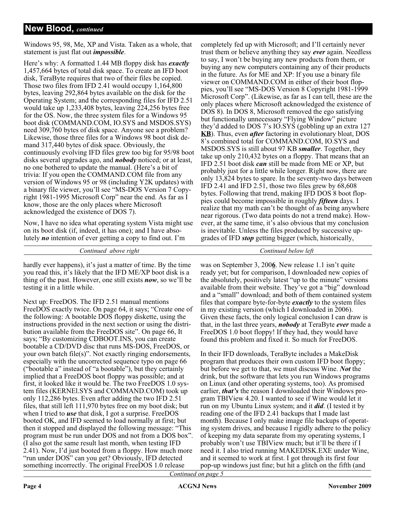#### **New Blood,** *continued*

Windows 95, 98, Me, XP and Vista. Taken as a whole, that statement is just flat out *impossible*.

Here's why: A formatted 1.44 MB floppy disk has *exactly* 1,457,664 bytes of total disk space. To create an IFD boot disk, TeraByte requires that two of their files be copied. Those two files from IFD 2.41 would occupy 1,164,800 bytes, leaving 292,864 bytes available on the disk for the Operating System; and the corresponding files for IFD 2.51 would take up 1,233,408 bytes, leaving 224,256 bytes free for the OS. Now, the three system files for a Windows 95 boot disk (COMMAND.COM, IO.SYS and MSDOS.SYS) need 309,760 bytes of disk space. Anyone see a problem? Likewise, those three files for a Windows 98 boot disk demand 317,440 bytes of disk space. Obviously, the continuously evolving IFD files grew too big for 95/98 boot disks several upgrades ago, and *nobody* noticed; or at least, no one bothered to update the manual. (Here's a bit of trivia: If you open the COMMAND.COM file from any version of Windows 95 or 98 (including Y2K updates) with a binary file viewer, you'll see "MS-DOS Version 7 Copyright 1981-1995 Microsoft Corp" near the end. As far as I know, those are the only places where Microsoft acknowledged the existence of DOS 7).

Now, I have no idea what operating system Vista might use on its boot disk (if, indeed, it has one); and I have absolutely *no* intention of ever getting a copy to find out. I'm

*Continued above right Continued below left*

hardly ever happens), it's just a matter of time. By the time you read this, it's likely that the IFD ME/XP boot disk is a thing of the past. However, one still exists *now*, so we'll be testing it in a little while.

Next up: FreeDOS. The IFD 2.51 manual mentions FreeDOS exactly twice. On page 64, it says; "Create one of the following: A bootable DOS floppy diskette, using the instructions provided in the next section or using the distribution available from the FreeDOS site". On page 66, It says; "By customizing CDBOOT.INS, you can create bootable a CD/DVD disc that runs MS-DOS, FreeDOS, or your own batch file(s)". Not exactly ringing endorsements, especially with the uncorrected sequence typo on page 66 ("bootable a" instead of "a bootable"), but they certainly implied that a FreeDOS boot floppy was possible; and at first, it looked like it would be. The two FreeDOS 1.0 system files (KERNEl.SYS and COMMAND.COM) took up only 112,286 bytes. Even after adding the two IFD 2.51 files, that still left 111,970 bytes free on my boot disk; but when I tried to *use* that disk, I got a surprise. FreeDOS booted OK, and IFD seemed to load normally at first; but then it stopped and displayed the following message: "This program must be run under DOS and not from a DOS box". (I also got the same result last month, when testing IFD 2.41). Now, I'd just booted from a floppy. How much more "run under DOS" can you get? Obviously, IFD detected something incorrectly. The original FreeDOS 1.0 release

completely fed up with Microsoft; and I'll certainly never trust them or believe anything they say *ever* again. Needless to say, I won't be buying any new products from them, or buying any new computers containing any of their products in the future. As for ME and XP: If you use a binary file viewer on COMMAND.COM in either of their boot floppies, you'll see "MS-DOS Version 8 Copyright 1981-1999 Microsoft Corp". (Likewise, as far as I can tell, these are the only places where Microsoft acknowledged the existence of DOS 8). In DOS 8, Microsoft removed the ego satisfying but functionally unnecessary "Flying Window" picture they'd added to DOS 7's IO.SYS (gobbling up an extra 127 **KB**). Thus, even *after* factoring in evolutionary bloat, DOS 8's combined total for COMMAND.COM, IO.SYS and MSDOS.SYS is still about 97 KB *smaller*. Together, they take up only 210,432 bytes on a floppy. That means that an IFD 2.51 boot disk *can* still be made from ME or XP, but probably just for a little while longer. Right now, there are only 13,824 bytes to spare. In the seventy-two days between IFD 2.41 and IFD 2.51, those two files grew by 68,608 bytes. Following that trend, making IFD DOS 8 boot floppies could become impossible in roughly *fifteen* days. I realize that my math can't be thought of as being anywhere near rigorous. (Two data points do not a trend make). However, at the same time, it's also obvious that my conclusion is inevitable. Unless the files produced by successive upgrades of IFD *stop* getting bigger (which, historically,

was on September 3, 200**6**. New release 1.1 isn't quite ready yet; but for comparison, I downloaded new copies of the absolutely, positively latest "up to the minute" versions available from their website. They've got a "big" download and a "small" download; and both of them contained system files that compare byte-for-byte *exactly* to the system files in my existing version (which I downloaded in 2006). Given these facts, the only logical conclusion I can draw is that, in the last three years, *nobody* at TeraByte *ever* made a FreeDOS 1.0 boot floppy! If they had, they would have found this problem and fixed it. So much for FreeDOS.

In their IFD downloads, TeraByte includes a MakeDisk program that produces their own custom IFD boot floppy; but before we get to that, we must discuss Wine. *Not* the drink, but the software that lets you run Windows programs on Linux (and other operating systems, too). As promised earlier, *that's* the reason I downloaded their Windows program TBIView 4.20. I wanted to see if Wine would let it run on my Ubuntu Linux system; and it *did*. (I tested it by reading one of the IFD 2.41 backups that I made last month). Because I only make image file backups of operating system drives, and because I rigidly adhere to the policy of keeping my data separate from my operating systems, I probably won't use TBIView much; but it'll be there if I need it. I also tried running MAKEDISK.EXE under Wine, and it seemed to work at first. I got through its first four pop-up windows just fine; but hit a glitch on the fifth (and

*Continued on page 5*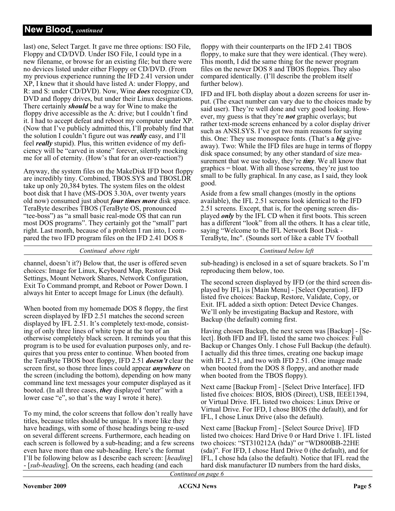#### **New Blood,** *continued*

last) one, Select Target. It gave me three options: ISO File, Floppy and CD/DVD. Under ISO File, I could type in a new filename, or browse for an existing file; but there were no devices listed under either Floppy or CD/DVD. (From my previous experience running the IFD 2.41 version under XP, I knew that it should have listed A: under Floppy, and R: and S: under CD/DVD). Now, Wine *does* recognize CD, DVD and floppy drives, but under their Linux designations. There certainly *should* be a way for Wine to make the floppy drive accessible as the A: drive; but I couldn't find it. I had to accept defeat and reboot my computer under XP. (Now that I've publicly admitted this, I'll probably find that the solution I couldn't figure out was *really* easy, and I'll feel *really* stupid). Plus, this written evidence of my deficiency will be "carved in stone" forever, silently mocking me for all of eternity. (How's that for an over-reaction?)

Anyway, the system files on the MakeDisk IFD boot floppy are incredibly tiny. Combined, TBOS.SYS and TBOSLDR take up only 20,384 bytes. The system files on the oldest boot disk that I have (MS-DOS 3.30A, over twenty years old now) consumed just about *four times more* disk space. TeraByte describes TBOS (TeraByte OS, pronounced "tee-boss") as "a small basic real-mode OS that can run most DOS programs". They certainly got the "small" part right. Last month, because of a problem I ran into, I compared the two IFD program files on the IFD 2.41 DOS 8

*Continued above right Continued below left*

channel, doesn't it?) Below that, the user is offered seven choices: Image for Linux, Keyboard Map, Restore Disk Settings, Mount Network Shares, Network Configuration, Exit To Command prompt, and Reboot or Power Down. I always hit Enter to accept Image for Linux (the default).

When booted from my homemade DOS 8 floppy, the first screen displayed by IFD 2.51 matches the second screen displayed by IFL 2.51. It's completely text-mode, consisting of only three lines of white type at the top of an otherwise completely black screen. It reminds you that this program is to be used for evaluation purposes only, and requires that you press enter to continue. When booted from the TeraByte TBOS boot floppy, IFD 2.51 *doesn't* clear the screen first, so those three lines could appear *anywhere* on the screen (including the bottom), depending on how many command line text messages your computer displayed as it booted. (In all three cases, *they* displayed "enter" with a lower case "e", so that's the way I wrote it here).

To my mind, the color screens that follow don't really have titles, because titles should be unique. It's more like they have headings, with some of those headings being re-used on several different screens. Furthermore, each heading on each screen is followed by a sub-heading; and a few screens even have more than one sub-heading. Here's the format I'll be following below as I describe each screen: [*heading*] - [*sub-heading*]. On the screens, each heading (and each

floppy with their counterparts on the IFD 2.41 TBOS floppy, to make sure that they were identical. (They were). This month, I did the same thing for the newer program files on the newer DOS 8 and TBOS floppies. They also compared identically. (I'll describe the problem itself further below).

IFD and IFL both display about a dozen screens for user input. (The exact number can vary due to the choices made by said user). They're well done and very good looking. However, my guess is that they're *not* graphic overlays; but rather text-mode screens enhanced by a color display driver such as ANSI.SYS. I've got two main reasons for saying this. One: They use monospace fonts. (That's a *big* giveaway). Two: While the IFD files are huge in terms of floppy disk space consumed; by any other standard of size measurement that we use today, they're *tiny*. We all know that graphics = bloat. With all those screens, they're just too small to be fully graphical. In any case, as I said, they look good.

Aside from a few small changes (mostly in the options available), the IFL 2.51 screens look identical to the IFD 2.51 screens. Except, that is, for the opening screen displayed *only* by the IFL CD when it first boots. This screen has a different "look" from all the others. It has a clear title, saying "Welcome to the IFL Network Boot Disk - TeraByte, Inc". (Sounds sort of like a cable TV football

sub-heading) is enclosed in a set of square brackets. So I'm reproducing them below, too.

The second screen displayed by IFD (or the third screen displayed by IFL) is [Main Menu] - [Select Operation]. IFD listed five choices: Backup, Restore, Validate, Copy, or Exit. IFL added a sixth option: Detect Device Changes. We'll only be investigating Backup and Restore, with Backup (the default) coming first.

Having chosen Backup, the next screen was [Backup] - [Select]. Both IFD and IFL listed the same two choices: Full Backup or Changes Only. I chose Full Backup (the default). I actually did this three times, creating one backup image with IFL 2.51, and two with IFD 2.51. (One image made when booted from the DOS 8 floppy, and another made when booted from the TBOS floppy).

Next came [Backup From] - [Select Drive Interface]. IFD listed five choices: BIOS, BIOS (Direct), USB, IEEE1394, or Virtual Drive. IFL listed two choices: Linux Drive or Virtual Drive. For IFD, I chose BIOS (the default), and for IFL, I chose Linux Drive (also the default).

Next came [Backup From] - [Select Source Drive]. IFD listed two choices: Hard Drive 0 or Hard Drive 1. IFL listed two choices: "ST310212A (hda)" or "WD800BB-22HE (sda)". For IFD, I chose Hard Drive 0 (the default), and for IFL, I chose hda (also the default). Notice that IFL read the hard disk manufacturer ID numbers from the hard disks,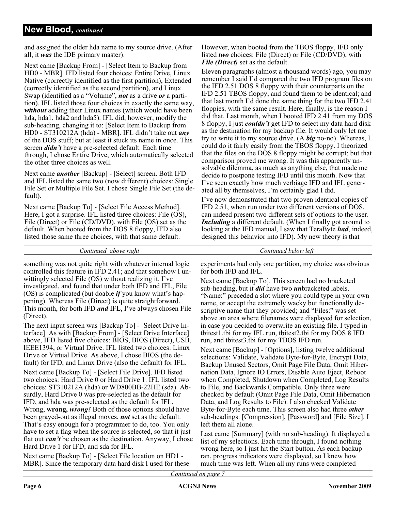and assigned the older hda name to my source drive. (After all, it *was* the IDE primary master).

Next came [Backup From] - [Select Item to Backup from HD0 - MBR]. IFD listed four choices: Entire Drive, Linux Native (correctly identified as the first partition), Extended (correctly identified as the second partition), and Linux Swap (identified as a "Volume", *not* as a drive *or* a partition). IFL listed those four choices in exactly the same way, *without* adding their Linux names (which would have been hda, hda1, hda2 and hda5). IFL did, however, modify the sub-heading, changing it to: [Select Item to Backup from HD0 - ST310212A (hda) - MBR]. IFL didn't take out *any* of the DOS stuff; but at least it stuck its name in once. This screen *didn't* have a pre-selected default. Each time through, I chose Entire Drive, which automatically selected the other three choices as well.

Next came *another* [Backup] - [Select] screen. Both IFD and IFL listed the same two (now different) choices: Single File Set or Multiple File Set. I chose Single File Set (the default).

Next came [Backup To] - [Select File Access Method]. Here, I got a surprise. IFL listed three choices: File (OS), File (Direct) or File (CD/DVD), with File (OS) set as the default. When booted from the DOS 8 floppy, IFD also listed those same three choices, with that same default.

However, when booted from the TBOS floppy, IFD only listed *two* choices: File (Direct) or File (CD/DVD), with *File (Direct)* set as the default.

Eleven paragraphs (almost a thousand words) ago, you may remember I said I'd compared the two IFD program files on the IFD 2.51 DOS 8 floppy with their counterparts on the IFD 2.51 TBOS floppy, and found them to be identical; and that last month I'd done the same thing for the two IFD 2.41 floppies, with the same result. Here, finally, is the reason I did that. Last month, when I booted IFD 2.41 from my DOS 8 floppy, I just *couldn't* get IFD to select my data hard disk as the destination for my backup file. It would only let me try to write it to my source drive. (A *big* no-no). Whereas, I could do it fairly easily from the TBOS floppy. I theorized that the files on the DOS 8 floppy might be corrupt; but that comparison proved me wrong. It was this apparently unsolvable dilemma, as much as anything else, that made me decide to postpone testing IFD until this month. Now that I've seen exactly how much verbiage IFD and IFL generated all by themselves, I'm certainly glad I did.

I've now demonstrated that two proven identical copies of IFD 2.51, when run under two different versions of DOS, can indeed present two different sets of options to the user. *Including* a different default. (When I finally got around to looking at the IFD manual, I saw that TeraByte *had*, indeed, designed this behavior into IFD). My new theory is that

*Continued above right Continued below left*

something was not quite right with whatever internal logic controlled this feature in IFD 2.41; and that somehow I unwittingly selected File (OS) without realizing it. I've investigated, and found that under both IFD and IFL, File (OS) is complicated (but doable *if* you know what's happening). Whereas File (Direct) is quite straightforward. This month, for both IFD *and* IFL, I've always chosen File (Direct).

The next input screen was [Backup To] - [Select Drive Interface]. As with [Backup From] - [Select Drive Interface] above, IFD listed five choices: BIOS, BIOS (Direct), USB, IEEE1394, or Virtual Drive. IFL listed two choices: Linux Drive or Virtual Drive. As above, I chose BIOS (the default) for IFD, and Linux Drive (also the default) for IFL.

Next came [Backup To] - [Select File Drive]. IFD listed two choices: Hard Drive 0 or Hard Drive 1. IFL listed two choices: ST310212A (hda) or WD800BB-22HE (sda). Absurdly, Hard Drive 0 was pre-selected as the default for IFD, and hda was pre-selected as the default for IFL. Wrong, **wrong,** *wrong!* Both of those options should have been grayed-out as illegal moves, *not* set as the default. That's easy enough for a programmer to do, too. You only have to set a flag when the source is selected, so that it just flat out *can't* be chosen as the destination. Anyway, I chose Hard Drive 1 for IFD, and sda for IFL.

Next came [Backup To] - [Select File location on HD1 - MBR]. Since the temporary data hard disk I used for these

experiments had only one partition, my choice was obvious for both IFD and IFL.

Next came [Backup To]. This screen had no bracketed sub-heading, but it *did* have two *un*bracketed labels. "Name:" preceded a slot where you could type in your own name, or accept the extremely wacky but functionally descriptive name that they provided; and "Files:" was set above an area where filenames were displayed for selection, in case you decided to overwrite an existing file. I typed in tbitest1.tbi for my IFL run, tbitest2.tbi for my DOS 8 IFD run, and tbitest3.tbi for my TBOS IFD run.

Next came [Backup] - [Options], listing twelve additional selections: Validate, Validate Byte-for-Byte, Encrypt Data, Backup Unused Sectors, Omit Page File Data, Omit Hibernation Data, Ignore IO Errors, Disable Auto Eject, Reboot when Completed, Shutdown when Completed, Log Results to File, and Backwards Compatible. Only three were checked by default (Omit Page File Data, Omit Hibernation Data, and Log Results to File). I also checked Validate Byte-for-Byte each time. This screen also had three *other* sub-headings: [Compression], [Password] and [File Size]. I left them all alone.

Last came [Summary] (with no sub-heading). It displayed a list of my selections. Each time through, I found nothing wrong here, so I just hit the Start button. As each backup ran, progress indicators were displayed, so I knew how much time was left. When all my runs were completed

*Continued on page 7*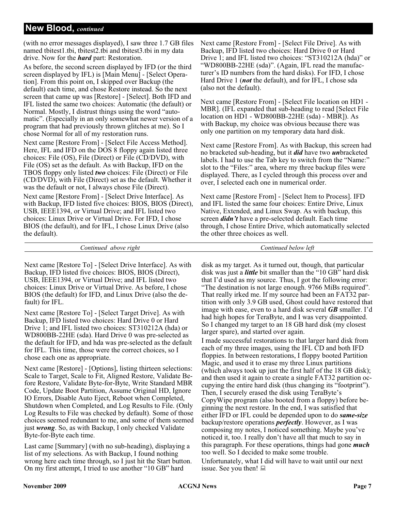#### **New Blood,** *continued*

(with no error messages displayed), I saw three 1.7 GB files named tbitest1.tbi, tbitest2.tbi and tbitest3.tbi in my data drive. Now for the *hard* part: Restoration.

As before, the second screen displayed by IFD (or the third screen displayed by IFL) is [Main Menu] - [Select Operation]. From this point on, I skipped over Backup (the default) each time, and chose Restore instead. So the next screen that came up was [Restore] - [Select]. Both IFD and IFL listed the same two choices: Automatic (the default) or Normal. Mostly, I distrust things using the word "automatic". (Especially in an only somewhat newer version of a program that had previously thrown glitches at me). So I chose Normal for all of my restoration runs.

Next came [Restore From] - [Select File Access Method]. Here, IFL and IFD on the DOS 8 floppy again listed three choices: File (OS), File (Direct) or File (CD/DVD), with File (OS) set as the default. As with Backup, IFD on the TBOS floppy only listed *two* choices: File (Direct) or File (CD/DVD), with File (Direct) set as the default. Whether it was the default or not, I always chose File (Direct). Next came [Restore From] - [Select Drive Interface]. As with Backup, IFD listed five choices: BIOS, BIOS (Direct), USB, IEEE1394, or Virtual Drive; and IFL listed two choices: Linux Drive or Virtual Drive. For IFD, I chose BIOS (the default), and for IFL, I chose Linux Drive (also the default).

Next came [Restore From] - [Select File Drive]. As with Backup, IFD listed two choices: Hard Drive 0 or Hard Drive 1; and IFL listed two choices: "ST310212A (hda)" or "WD800BB-22HE (sda)". (Again, IFL read the manufacturer's ID numbers from the hard disks). For IFD, I chose Hard Drive 1 (*not* the default), and for IFL, I chose sda (also not the default).

Next came [Restore From] - [Select File location on HD1 - MBR]. (IFL expanded that sub-heading to read [Select File location on HD1 - WD800BB-22HE (sda) - MBR]). As with Backup, my choice was obvious because there was only one partition on my temporary data hard disk.

Next came [Restore From]. As with Backup, this screen had no bracketed sub-heading, but it *did* have two *un*bracketed labels. I had to use the Tab key to switch from the "Name:" slot to the "Files:" area, where my three backup files were displayed. There, as I cycled through this process over and over, I selected each one in numerical order.

Next came [Restore From] - [Select Item to Process]. IFD and IFL listed the same four choices: Entire Drive, Linux Native, Extended, and Linux Swap. As with backup, this screen *didn't* have a pre-selected default. Each time through, I chose Entire Drive, which automatically selected the other three choices as well.

*Continued above right Continued below left*

Next came [Restore To] - [Select Drive Interface]. As with Backup, IFD listed five choices: BIOS, BIOS (Direct), USB, IEEE1394, or Virtual Drive; and IFL listed two choices: Linux Drive or Virtual Drive. As before, I chose BIOS (the default) for IFD, and Linux Drive (also the default) for IFL.

Next came [Restore To] - [Select Target Drive]. As with Backup, IFD listed two choices: Hard Drive 0 or Hard Drive 1; and IFL listed two choices: ST310212A (hda) or WD800BB-22HE (sda). Hard Drive 0 was pre-selected as the default for IFD, and hda was pre-selected as the default for IFL. This time, those were the correct choices, so I chose each one as appropriate.

Next came [Restore] - [Options], listing thirteen selections: Scale to Target, Scale to Fit, Aligned Restore, Validate Before Restore, Validate Byte-for-Byte, Write Standard MBR Code, Update Boot Partition, Assume Original HD, Ignore IO Errors, Disable Auto Eject, Reboot when Completed, Shutdown when Completed, and Log Results to File. (Only Log Results to File was checked by default). Some of those choices seemed redundant to me, and some of them seemed just *wrong*. So, as with Backup, I only checked Validate Byte-for-Byte each time.

Last came [Summary] (with no sub-heading), displaying a list of my selections. As with Backup, I found nothing wrong here each time through, so I just hit the Start button. On my first attempt, I tried to use another "10 GB" hard

disk as my target. As it turned out, though, that particular disk was just a *little* bit smaller than the "10 GB" hard disk that I'd used as my source. Thus, I got the following error: "The destination is not large enough. 9766 MiBs required". That really irked me. If my source had been an FAT32 partition with only 3.9 GB used, Ghost could have restored that image with ease, even to a hard disk several *GB* smaller. I'd had high hopes for TeraByte, and I was very disappointed. So I changed my target to an 18 GB hard disk (my closest larger spare), and started over again.

I made successful restorations to that larger hard disk from each of my three images, using the IFL CD and both IFD floppies. In between restorations, I floppy booted Partition Magic, and used it to erase my three Linux partitions (which always took up just the first half of the 18 GB disk); and then used it again to create a single FAT32 partition occupying the entire hard disk (thus changing its "footprint"). Then, I securely erased the disk using TeraByte's CopyWipe program (also booted from a floppy) before beginning the next restore. In the end, I was satisfied that either IFD or IFL could be depended upon to do *same-size* backup/restore operations *perfectly*. However, as I was composing my notes, I noticed something. Maybe you've noticed it, too. I really don't have all that much to say in this paragraph. For these operations, things had gone *much* too well. So I decided to make some trouble.

Unfortunately, what I did will have to wait until our next issue. See you then!  $\Box$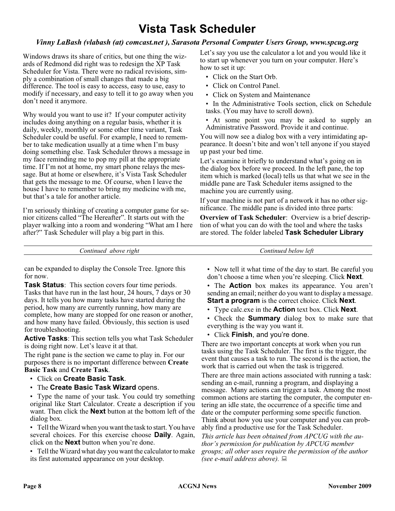### **Vista Task Scheduler**

#### *Vinny LaBash (vlabash (at) comcast.net ), Sarasota Personal Computer Users Group, www.spcug.org*

Windows draws its share of critics, but one thing the wizards of Redmond did right was to redesign the XP Task Scheduler for Vista. There were no radical revisions, simply a combination of small changes that made a big difference. The tool is easy to access, easy to use, easy to modify if necessary, and easy to tell it to go away when you don't need it anymore.

Why would you want to use it? If your computer activity includes doing anything on a regular basis, whether it is daily, weekly, monthly or some other time variant, Task Scheduler could be useful. For example, I need to remember to take medication usually at a time when I'm busy doing something else. Task Scheduler throws a message in my face reminding me to pop my pill at the appropriate time. If I'm not at home, my smart phone relays the message. But at home or elsewhere, it's Vista Task Scheduler that gets the message to me. Of course, when I leave the house I have to remember to bring my medicine with me, but that's a tale for another article.

I'm seriously thinking of creating a computer game for senior citizens called "The Hereafter". It starts out with the player walking into a room and wondering "What am I here after?" Task Scheduler will play a big part in this.

Let's say you use the calculator a lot and you would like it to start up whenever you turn on your computer. Here's how to set it up:

- Click on the Start Orb.
- Click on Control Panel.
- Click on System and Maintenance
- In the Administrative Tools section, click on Schedule tasks. (You may have to scroll down).

• At some point you may be asked to supply an Administrative Password. Provide it and continue.

You will now see a dialog box with a very intimidating appearance. It doesn't bite and won't tell anyone if you stayed up past your bed time.

Let's examine it briefly to understand what's going on in the dialog box before we proceed. In the left pane, the top item which is marked (local) tells us that what we see in the middle pane are Task Scheduler items assigned to the machine you are currently using.

If your machine is not part of a network it has no other significance. The middle pane is divided into three parts:

**Overview of Task Scheduler**: Overview is a brief description of what you can do with the tool and where the tasks are stored. The folder labeled **Task Scheduler Library**

*Continued above right Continued below left*

can be expanded to display the Console Tree. Ignore this for now.

**Task Status**: This section covers four time periods. Tasks that have run in the last hour, 24 hours, 7 days or 30 days. It tells you how many tasks have started during the period, how many are currently running, how many are complete, how many are stopped for one reason or another, and how many have failed. Obviously, this section is used for troubleshooting.

**Active Tasks**: This section tells you what Task Scheduler is doing right now. Let's leave it at that.

The right pane is the section we came to play in. For our purposes there is no important difference between **Create Basic Task** and **Create Task**.

- Click on **Create Basic Task**.
- The **Create Basic Task Wizard** opens.

• Type the name of your task. You could try something original like Start Calculator. Create a description if you want. Then click the **Next** button at the bottom left of the dialog box.

• Tell the Wizard when you want the task to start. You have several choices. For this exercise choose **Daily**. Again, click on the **Next** button when you're done.

• Tell the Wizard what day you want the calculator to make its first automated appearance on your desktop.

• Now tell it what time of the day to start. Be careful you don't choose a time when you're sleeping. Click **Next**.

• The **Action** box makes its appearance. You aren't sending an email; neither do you want to display a message. **Start a program** is the correct choice. Click **Next**.

• Type calc.exe in the **Action** text box. Click **Next**.

• Check the **Summary** dialog box to make sure that everything is the way you want it.

• Click **Finish**, and you're done.

There are two important concepts at work when you run tasks using the Task Scheduler. The first is the trigger, the event that causes a task to run. The second is the action, the work that is carried out when the task is triggered.

There are three main actions associated with running a task: sending an e-mail, running a program, and displaying a message. Many actions can trigger a task. Among the most common actions are starting the computer, the computer entering an idle state, the occurrence of a specific time and date or the computer performing some specific function. Think about how you use your computer and you can probably find a productive use for the Task Scheduler.

*This article has been obtained from APCUG with the author's permission for publication by APCUG member groups; all other uses require the permission of the author (see e-mail address above).*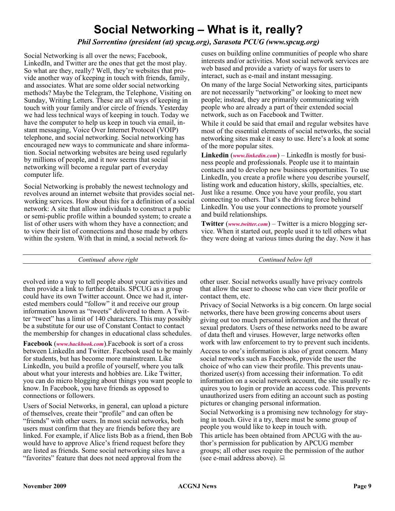### **Social Networking – What is it, really?**

#### *Phil Sorrentino (president (at) spcug.org), Sarasota PCUG (www.spcug.org)*

Social Networking is all over the news; Facebook, LinkedIn, and Twitter are the ones that get the most play. So what are they, really? Well, they're websites that provide another way of keeping in touch with friends, family, and associates. What are some older social networking methods? Maybe the Telegram, the Telephone, Visiting on Sunday, Writing Letters. These are all ways of keeping in touch with your family and/or circle of friends. Yesterday we had less technical ways of keeping in touch. Today we have the computer to help us keep in touch via email, instant messaging, Voice Over Internet Protocol (VOIP) telephone, and social networking. Social networking has encouraged new ways to communicate and share information. Social networking websites are being used regularly by millions of people, and it now seems that social networking will become a regular part of everyday computer life.

Social Networking is probably the newest technology and revolves around an internet website that provides social networking services. How about this for a definition of a social network: A site that allow individuals to construct a public or semi-public profile within a bounded system; to create a list of other users with whom they have a connection; and to view their list of connections and those made by others within the system. With that in mind, a social network focuses on building online communities of people who share interests and/or activities. Most social network services are web based and provide a variety of ways for users to interact, such as e-mail and instant messaging.

On many of the large Social Networking sites, participants are not necessarily "networking" or looking to meet new people; instead, they are primarily communicating with people who are already a part of their extended social network, such as on Facebook and Twitter.

While it could be said that email and regular websites have most of the essential elements of social networks, the social networking sites make it easy to use. Here's a look at some of the more popular sites.

**Linkedin** (*[www.linkedin.com](http://www.linkedin.com)*) – LinkedIn is mostly for business people and professionals. People use it to maintain contacts and to develop new business opportunities. To use LinkedIn, you create a profile where you describe yourself, listing work and education history, skills, specialties, etc. Just like a resume. Once you have your profile, you start connecting to others. That's the driving force behind LinkedIn. You use your connections to promote yourself and build relationships.

**Twitter** (*[www.twitter.com](http://www.twitter.com)*) – Twitter is a micro blogging service. When it started out, people used it to tell others what they were doing at various times during the day. Now it has

*Continued above right Continued below left*

evolved into a way to tell people about your activities and then provide a link to further details. SPCUG as a group could have its own Twitter account. Once we had it, interested members could "follow" it and receive our group information known as "tweets" delivered to them. A Twitter "tweet" has a limit of 140 characters. This may possibly be a substitute for our use of Constant Contact to contact the membership for changes in educational class schedules.

**Facebook** (*[www.backbook.com](http://www.backbook.com)*).Facebook is sort of a cross between LinkedIn and Twitter. Facebook used to be mainly for students, but has become more mainstream. Like LinkedIn, you build a profile of yourself, where you talk about what your interests and hobbies are. Like Twitter, you can do micro blogging about things you want people to know. In Facebook, you have friends as opposed to connections or followers.

Users of Social Networks, in general, can upload a picture of themselves, create their "profile" and can often be "friends" with other users. In most social networks, both users must confirm that they are friends before they are linked. For example, if Alice lists Bob as a friend, then Bob would have to approve Alice's friend request before they are listed as friends. Some social networking sites have a "favorites" feature that does not need approval from the

other user. Social networks usually have privacy controls that allow the user to choose who can view their profile or contact them, etc.

Privacy of Social Networks is a big concern. On large social networks, there have been growing concerns about users giving out too much personal information and the threat of sexual predators. Users of these networks need to be aware of data theft and viruses. However, large networks often work with law enforcement to try to prevent such incidents.

Access to one's information is also of great concern. Many social networks such as Facebook, provide the user the choice of who can view their profile. This prevents unauthorized user(s) from accessing their information. To edit information on a social network account, the site usually requires you to login or provide an access code. This prevents unauthorized users from editing an account such as posting pictures or changing personal information.

Social Networking is a promising new technology for staying in touch. Give it a try, there must be some group of people you would like to keep in touch with.

This article has been obtained from APCUG with the author's permission for publication by APCUG member groups; all other uses require the permission of the author (see e-mail address above).  $\Box$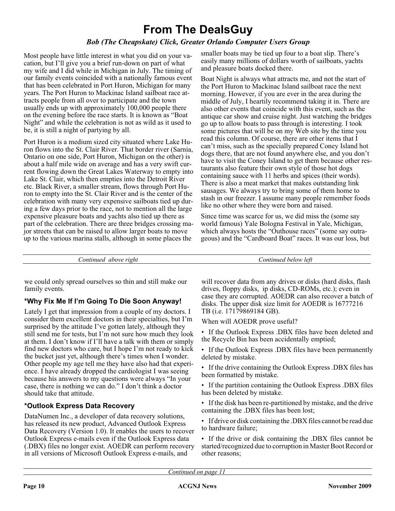### **From The DealsGuy**

#### *Bob (The Cheapskate) Click, Greater Orlando Computer Users Group*

Most people have little interest in what you did on your vacation, but I'll give you a brief run-down on part of what my wife and I did while in Michigan in July. The timing of our family events coincided with a nationally famous event that has been celebrated in Port Huron, Michigan for many years. The Port Huron to Mackinac Island sailboat race attracts people from all over to participate and the town usually ends up with approximately 100,000 people there on the evening before the race starts. It is known as "Boat Night" and while the celebration is not as wild as it used to be, it is still a night of partying by all.

Port Huron is a medium sized city situated where Lake Huron flows into the St. Clair River. That border river (Sarnia, Ontario on one side, Port Huron, Michigan on the other) is about a half mile wide on average and has a very swift current flowing down the Great Lakes Waterway to empty into Lake St. Clair, which then empties into the Detroit River etc. Black River, a smaller stream, flows through Port Huron to empty into the St. Clair River and is the center of the celebration with many very expensive sailboats tied up during a few days prior to the race, not to mention all the large expensive pleasure boats and yachts also tied up there as part of the celebration. There are three bridges crossing major streets that can be raised to allow larger boats to move up to the various marina stalls, although in some places the

smaller boats may be tied up four to a boat slip. There's easily many millions of dollars worth of sailboats, yachts and pleasure boats docked there.

Boat Night is always what attracts me, and not the start of the Port Huron to Mackinac Island sailboat race the next morning. However, if you are ever in the area during the middle of July, I heartily recommend taking it in. There are also other events that coincide with this event, such as the antique car show and cruise night. Just watching the bridges go up to allow boats to pass through is interesting. I took some pictures that will be on my Web site by the time you read this column. Of course, there are other items that I can't miss, such as the specially prepared Coney Island hot dogs there, that are not found anywhere else, and you don't have to visit the Coney Island to get them because other restaurants also feature their own style of those hot dogs containing sauce with 11 herbs and spices (their words). There is also a meat market that makes outstanding link sausages. We always try to bring some of them home to stash in our freezer. I assume many people remember foods like no other where they were born and raised.

Since time was scarce for us, we did miss the (some say world famous) Yale Bologna Festival in Yale, Michigan, which always hosts the "Outhouse races" (some say outrageous) and the "Cardboard Boat" races. It was our loss, but

*Continued above right Continued below left*

we could only spread ourselves so thin and still make our family events.

#### **\*Why Fix Me If I'm Going To Die Soon Anyway!**

Lately I get that impression from a couple of my doctors. I consider them excellent doctors in their specialties, but I'm surprised by the attitude I've gotten lately, although they still send me for tests, but I'm not sure how much they look at them. I don't know if I'll have a talk with them or simply find new doctors who care, but I hope I'm not ready to kick the bucket just yet, although there's times when I wonder. Other people my age tell me they have also had that experience. I have already dropped the cardiologist I was seeing because his answers to my questions were always "In your case, there is nothing we can do." I don't think a doctor should take that attitude.

#### **\*Outlook Express Data Recovery**

DataNumen Inc., a developer of data recovery solutions, has released its new product, Advanced Outlook Express Data Recovery (Version 1.0). It enables the users to recover Outlook Express e-mails even if the Outlook Express data (.DBX) files no longer exist. AOEDR can perform recovery in all versions of Microsoft Outlook Express e-mails, and

will recover data from any drives or disks (hard disks, flash drives, floppy disks, ip disks, CD-ROMs, etc.); even in case they are corrupted. AOEDR can also recover a batch of disks. The upper disk size limit for AOEDR is 16777216 TB (i.e. 17179869184 GB).

When will AOEDR prove useful?

• If the Outlook Express .DBX files have been deleted and the Recycle Bin has been accidentally emptied;

• If the Outlook Express .DBX files have been permanently deleted by mistake.

• If the drive containing the Outlook Express .DBX files has been formatted by mistake.

• If the partition containing the Outlook Express .DBX files has been deleted by mistake.

• If the disk has been re-partitioned by mistake, and the drive containing the .DBX files has been lost;

• If drive or disk containing the .DBX files cannot be read due to hardware failure;

• If the drive or disk containing the .DBX files cannot be started/recognized due to corruption in Master Boot Record or other reasons;

*Continued on page 11*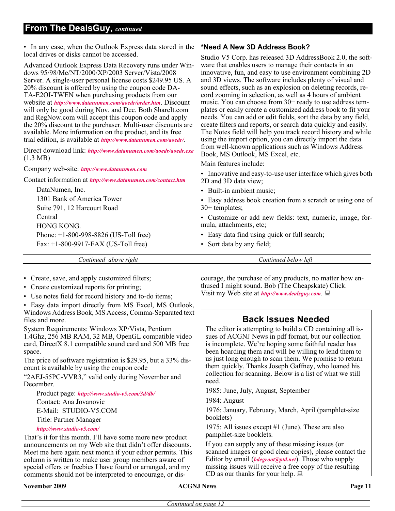#### **From The DealsGuy,** *continued*

• In any case, when the Outlook Express data stored in the **\*Need A New 3D Address Book?** local drives or disks cannot be accessed.

Advanced Outlook Express Data Recovery runs under Windows 95/98/Me/NT/2000/XP/2003 Server/Vista/2008 Server. A single-user personal license costs \$249.95 US. A 20% discount is offered by using the coupon code DA-TA-E2OI-TWEN when purchasing products from our website at *<http://www.datanumen.com/aoedr/order.htm>*. Discount will only be good during Nov. and Dec. Both ShareIt.com and RegNow.com will accept this coupon code and apply the 20% discount to the purchaser. Multi-user discounts are available. More information on the product, and its free trial edition, is available at *<http://www.datanumen.com/aoedr/>*.

Direct download link: *<http://www.datanumen.com/aoedr/aoedr.exe>* (1.3 MB)

Company web-site: *<http://www.datanumen.com>*

Contact information at *<http://www.datanumen.com/contact.htm>*

DataNumen, Inc. 1301 Bank of America Tower Suite 791, 12 Harcourt Road Central HONG KONG. Phone: +1-800-998-8826 (US-Toll free) Fax: +1-800-9917-FAX (US-Toll free)

Studio V5 Corp. has released 3D AddressBook 2.0, the software that enables users to manage their contacts in an innovative, fun, and easy to use environment combining 2D and 3D views. The software includes plenty of visual and sound effects, such as an explosion on deleting records, record zooming in selection, as well as 4 hours of ambient music. You can choose from 30+ ready to use address templates or easily create a customized address book to fit your needs. You can add or edit fields, sort the data by any field, create filters and reports, or search data quickly and easily. The Notes field will help you track record history and while using the import option, you can directly import the data from well-known applications such as Windows Address Book, MS Outlook, MS Excel, etc.

Main features include:

• Innovative and easy-to-use user interface which gives both 2D and 3D data view;

• Built-in ambient music;

• Easy address book creation from a scratch or using one of 30+ templates;

• Customize or add new fields: text, numeric, image, formula, attachments, etc;

- Easy data find using quick or full search;
- Sort data by any field;

*Continued above right Continued below left*

• Create, save, and apply customized filters;

- Create customized reports for printing;
- Use notes field for record history and to-do items;

• Easy data import directly from MS Excel, MS Outlook, Windows Address Book, MS Access, Comma-Separated text files and more.

System Requirements: Windows XP/Vista, Pentium 1.4Ghz, 256 MB RAM, 32 MB, OpenGL compatible video card, DirectX 8.1 compatible sound card and 500 MB free space.

The price of software registration is \$29.95, but a 33% discount is available by using the coupon code

"2AEJ-55PC-VVR3," valid only during November and December.

Product page: *<http://www.studio-v5.com/3d/db/>*

Contact: Ana Jovanovic E-Mail: STUDIO-V5.COM Title: Partner Manager

*<http://www.studio-v5.com/>*

That's it for this month. I'll have some more new product announcements on my Web site that didn't offer discounts. Meet me here again next month if your editor permits. This column is written to make user group members aware of special offers or freebies I have found or arranged, and my comments should not be interpreted to encourage, or dis-

**November 2009 CONS Page 11 CONS Page 11 Page 11 Page 11** 

courage, the purchase of any products, no matter how enthused I might sound. Bob (The Cheapskate) Click. Visit my Web site at *<http://www.dealsguy.com>*.

#### **Back Issues Needed**

The editor is attempting to build a CD containing all issues of ACGNJ News in pdf format, but our collection is incomplete. We're hoping some faithful reader has been hoarding them and will be willing to lend them to us just long enough to scan them. We promise to return them quickly. Thanks Joseph Gaffney, who loaned his collection for scanning. Below is a list of what we still need.

1985: June, July, August, September

1984: August

1976: January, February, March, April (pamphlet-size booklets)

1975: All issues except #1 (June). These are also pamphlet-size booklets.

If you can supply any of these missing issues (or scanned images or good clear copies), please contact the Editor by email (*[bdegroot@ptd.net](mailto:bdegroot@ptd.net)*). Those who supply missing issues will receive a free copy of the resulting CD as our thanks for your help.  $\Box$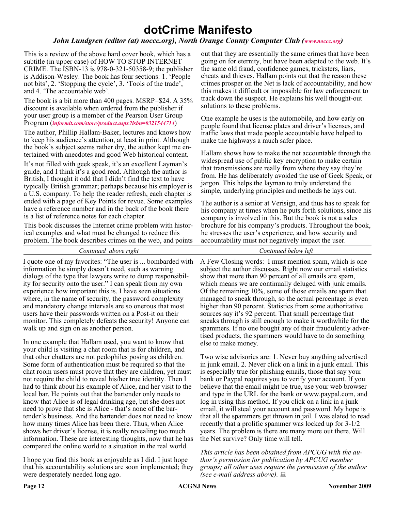### **dotCrime Manifesto**

#### *John Lundgren (editor (at) noccc.org), North Orange County Computer Club ([www.noccc.org](http://www.noccc.org))*

This is a review of the above hard cover book, which has a subtitle (in upper case) of HOW TO STOP INTERNET CRIME. The ISBN-13 is 978-0-321-50358-9; the publisher is Addison-Wesley. The book has four sections: 1. 'People not bits', 2. 'Stopping the cycle', 3. 'Tools of the trade', and 4. 'The accountable web'.

The book is a bit more than 400 pages. MSRP=\$24. A 35% discount is available when ordered from the publisher if your user group is a member of the Pearson User Group Program (*[informit.com/store/product.aspx?isbn=0321544714](http://www.informit.com/store/product.aspx?isbn=0321544714)*)

The author, Phillip Hallam-Baker, lectures and knows how to keep his audience's attention, at least in print. Although the book's subject seems rather dry, the author kept me entertained with anecdotes and good Web historical content.

It's not filled with geek speak, it's an excellent Layman's guide, and I think it's a good read. Although the author is British, I thought it odd that I didn't find the text to have typically British grammar; perhaps because his employer is a U.S. company. To help the reader refresh, each chapter is ended with a page of Key Points for revue. Some examples have a reference number and in the back of the book there is a list of reference notes for each chapter.

This book discusses the Internet crime problem with historical examples and what must be changed to reduce this problem. The book describes crimes on the web, and points

I quote one of my favorites: "The user is ... bombarded with information he simply doesn't need, such as warning dialogs of the type that lawyers write to dump responsibility for security onto the user." I can speak from my own experience how important this is. I have seen situations where, in the name of security, the password complexity and mandatory change intervals are so onerous that most users have their passwords written on a Post-it on their monitor. This completely defeats the security! Anyone can walk up and sign on as another person.

In one example that Hallam used, you want to know that your child is visiting a chat room that is for children, and that other chatters are not pedophiles posing as children. Some form of authentication must be required so that the chat room users must prove that they are children, yet must not require the child to reveal his/her true identity. Then I had to think about his example of Alice, and her visit to the local bar. He points out that the bartender only needs to know that Alice is of legal drinking age, but she does not need to prove that she is Alice - that's none of the bartender's business. And the bartender does not need to know how many times Alice has been there. Thus, when Alice shows her driver's license, it is really revealing too much information. These are interesting thoughts, now that he has compared the online world to a situation in the real world.

I hope you find this book as enjoyable as I did. I just hope that his accountability solutions are soon implemented; they were desperately needed long ago.

out that they are essentially the same crimes that have been going on for eternity, but have been adapted to the web. It's the same old fraud, confidence games, tricksters, liars, cheats and thieves. Hallam points out that the reason these crimes prosper on the Net is lack of accountability, and how this makes it difficult or impossible for law enforcement to track down the suspect. He explains his well thought-out solutions to these problems.

One example he uses is the automobile, and how early on people found that license plates and driver's licenses, and traffic laws that made people accountable have helped to make the highways a much safer place.

Hallam shows how to make the net accountable through the widespread use of public key encryption to make certain that transmissions are really from where they say they're from. He has deliberately avoided the use of Geek Speak, or jargon. This helps the layman to truly understand the simple, underlying principles and methods he lays out.

The author is a senior at Verisign, and thus has to speak for his company at times when he puts forth solutions, since his company is involved in this. But the book is not a sales brochure for his company's products. Throughout the book, he stresses the user's experience, and how security and accountability must not negatively impact the user.

A Few Closing words: I must mention spam, which is one subject the author discusses. Right now our email statistics show that more than 90 percent of all emails are spam, which means we are continually deluged with junk emails. Of the remaining 10%, some of those emails are spam that managed to sneak through, so the actual percentage is even higher than 90 percent. Statistics from some authoritative sources say it's 92 percent. That small percentage that *Continued above right Continued below left*

sneaks through is still enough to make it worthwhile for the spammers. If no one bought any of their fraudulently advertised products, the spammers would have to do something else to make money.

Two wise advisories are: 1. Never buy anything advertised in junk email. 2. Never click on a link in a junk email. This is especially true for phishing emails, those that say your bank or Paypal requires you to verify your account. If you believe that the email might be true, use your web browser and type in the URL for the bank or www.paypal.com, and log in using this method. If you click on a link in a junk email, it will steal your account and password. My hope is that all the spammers get thrown in jail. I was elated to read recently that a prolific spammer was locked up for 3-1/2 years. The problem is there are many more out there. Will the Net survive? Only time will tell.

*This article has been obtained from APCUG with the author's permission for publication by APCUG member groups; all other uses require the permission of the author (see e-mail address above).*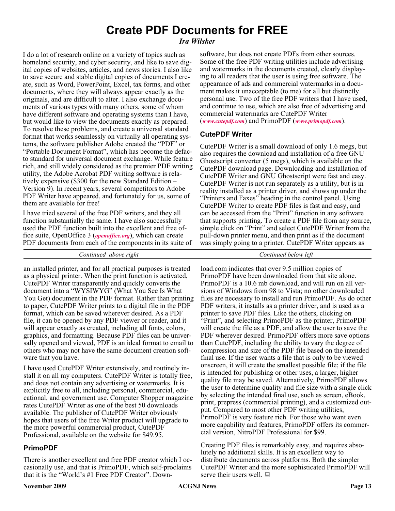### **Create PDF Documents for FREE**

#### *Ira Wilsker*

I do a lot of research online on a variety of topics such as homeland security, and cyber security, and like to save digital copies of websites, articles, and news stories. I also like to save secure and stable digital copies of documents I create, such as Word, PowerPoint, Excel, tax forms, and other documents, where they will always appear exactly as the originals, and are difficult to alter. I also exchange documents of various types with many others, some of whom have different software and operating systems than I have, but would like to view the documents exactly as prepared. To resolve these problems, and create a universal standard format that works seamlessly on virtually all operating systems, the software publisher Adobe created the "PDF" or "Portable Document Format", which has become the defacto standard for universal document exchange. While feature rich, and still widely considered as the premier PDF writing utility, the Adobe Acrobat PDF writing software is relatively expensive (\$300 for the new Standard Edition – Version 9). In recent years, several competitors to Adobe PDF Writer have appeared, and fortunately for us, some of them are available for free!

I have tried several of the free PDF writers, and they all function substantially the same. I have also successfully used the PDF function built into the excellent and free office suite, OpenOffice 3 (*[openoffice.org](http://)*), which can create PDF documents from each of the components in its suite of software, but does not create PDFs from other sources. Some of the free PDF writing utilities include advertising and watermarks in the documents created, clearly displaying to all readers that the user is using free software. The appearance of ads and commercial watermarks in a document makes it unacceptable (to me) for all but distinctly personal use. Two of the free PDF writers that I have used, and continue to use, which are also free of advertising and commercial watermarks are CutePDF Writer

(*[www.cutepdf.com](http://www.cutepdf.com)*) and PrimoPDF (*[www.primopdf.com](http://www.primopdf.com)*).

#### **CutePDF Writer**

CutePDF Writer is a small download of only 1.6 megs, but also requires the download and installation of a free GNU Ghostscript converter (5 megs), which is available on the CutePDF download page. Downloading and installation of CutePDF Writer and GNU Ghostscript were fast and easy. CutePDF Writer is not run separately as a utility, but is in reality installed as a printer driver, and shows up under the "Printers and Faxes" heading in the control panel. Using CutePDF Writer to create PDF files is fast and easy, and can be accessed from the "Print" function in any software that supports printing. To create a PDF file from any source, simple click on "Print" and select CutePDF Writer from the pull-down printer menu, and then print as if the document was simply going to a printer. CutePDF Writer appears as

*Continued above right Continued below left*

an installed printer, and for all practical purposes is treated as a physical printer. When the print function is activated, CutePDF Writer transparently and quickly converts the document into a "WYSIWYG" (What You See Is What You Get) document in the PDF format. Rather than printing to paper, CutePDF Writer prints to a digital file in the PDF format, which can be saved wherever desired. As a PDF file, it can be opened by any PDF viewer or reader, and it will appear exactly as created, including all fonts, colors, graphics, and formatting. Because PDF files can be universally opened and viewed, PDF is an ideal format to email to others who may not have the same document creation software that you have.

I have used CutePDF Writer extensively, and routinely install it on all my computers. CutePDF Writer is totally free, and does not contain any advertising or watermarks. It is explicitly free to all, including personal, commercial, educational, and government use. Computer Shopper magazine rates CutePDF Writer as one of the best 50 downloads available. The publisher of CutePDF Writer obviously hopes that users of the free Writer product will upgrade to the more powerful commercial product, CutePDF Professional, available on the website for \$49.95.

#### **PrimoPDF**

There is another excellent and free PDF creator which I occasionally use, and that is PrimoPDF, which self-proclaims that it is the "World's #1 Free PDF Creator". Down-

load.com indicates that over 9.5 million copies of PrimoPDF have been downloaded from that site alone. PrimoPDF is a 10.6 mb download, and will run on all versions of Windows from 98 to Vista; no other downloaded files are necessary to install and run PrimoPDF. As do other PDF writers, it installs as a printer driver, and is used as a printer to save PDF files. Like the others, clicking on "Print", and selecting PrimoPDF as the printer, PrimoPDF will create the file as a PDF, and allow the user to save the PDF wherever desired. PrimoPDF offers more save options than CutePDF, including the ability to vary the degree of compression and size of the PDF file based on the intended final use. If the user wants a file that is only to be viewed onscreen, it will create the smallest possible file; if the file is intended for publishing or other uses, a larger, higher quality file may be saved. Alternatively, PrimoPDF allows the user to determine quality and file size with a single click by selecting the intended final use, such as screen, eBook, print, prepress (commercial printing), and a customized output. Compared to most other PDF writing utilities, PrimoPDF is very feature rich. For those who want even more capability and features, PrimoPDF offers its commercial version, NitroPDF Professional for \$99.

Creating PDF files is remarkably easy, and requires absolutely no additional skills. It is an excellent way to distribute documents across platforms. Both the simpler CutePDF Writer and the more sophisticated PrimoPDF will serve their users well.  $\Box$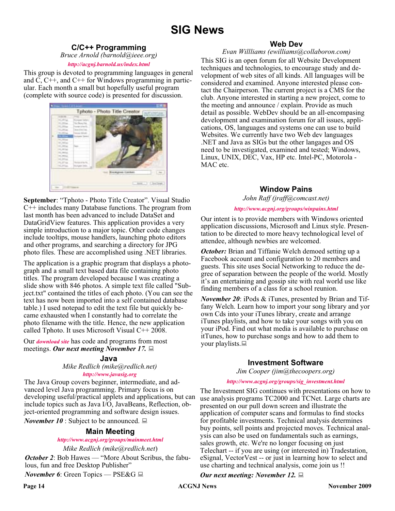### **SIG News**

#### **C/C++ Programming**

*Bruce Arnold (barnold@ieee.org)*

#### *<http://acgnj.barnold.us/index.html>*

This group is devoted to programming languages in general and C, C++, and C++ for Windows programming in particular. Each month a small but hopefully useful program (complete with source code) is presented for discussion.



**September**: "Tphoto - Photo Title Creator". Visual Studio C++ includes many Database functions. The program from last month has been advanced to include DataSet and DataGridView features. This application provides a very simple introduction to a major topic. Other code changes include tooltips, mouse handlers, launching photo editors and other programs, and searching a directory for JPG photo files. These are accomplished using .NET libraries.

The application is a graphic program that displays a photograph and a small text based data file containing photo titles. The program developed because I was creating a slide show with 846 photos. A simple text file called "Subject.txt" contained the titles of each photo. (You can see the text has now been imported into a self contained database table.) I used notepad to edit the text file but quickly became exhausted when I constantly had to correlate the photo filename with the title. Hence, the new application called Tphoto. It uses Microsoft Visual C++ 2008.

Our *[download site](http://acgnj.barnold.us/Source/Index.htm)* has code and programs from most meetings. *Our next meeting November 17.*

#### **Java**

*Mike Redlich (mike@redlich.net)*

#### *<http://www.javasig.org>*

The Java Group covers beginner, intermediate, and advanced level Java programming. Primary focus is on developing useful/practical applets and applications, but can include topics such as Java I/O, JavaBeans, Reflection, object-oriented programming and software design issues.

*November 10* : Subject to be announced.  $\Box$ 

#### **Main Meeting**

#### *<http://www.acgnj.org/groups/mainmeet.html>*

*Mike Redlich (mike@redlich.net*)

*October 2:* Bob Hawes — "More About Scribus, the fabulous, fun and free Desktop Publisher"

*November 6*: Green Topics — PSE&G ■

#### **Web Dev**

*Evan Willliams (ewilliams@collaboron.com)*

This SIG is an open forum for all Website Development techniques and technologies, to encourage study and development of web sites of all kinds. All languages will be considered and examined. Anyone interested please contact the Chairperson. The current project is a CMS for the club. Anyone interested in starting a new project, come to the meeting and announce / explain. Provide as much detail as possible. WebDev should be an all-encompasing development and examination forum for all issues, applications, OS, languages and systems one can use to build Websites. We currently have two Web dev languages .NET and Java as SIGs but the other langages and OS need to be investigated, examined and tested; Windows, Linux, UNIX, DEC, Vax, HP etc. Intel-PC, Motorola - MAC etc.

#### **Window Pains**

*John Raff (jraff@comcast.net)*

#### *<http://www.acgnj.org/groups/winpains.html>*

Our intent is to provide members with Windows oriented application discussions, Microsoft and Linux style. Presentation to be directed to more heavy technological level of attendee, although newbies are welcomed.

*October:* Brian and Tiffanie Welch demoed setting up a Facebook account and configuration to 20 members and guests. This site uses Social Networking to reduce the degree of separation between the people of the world. Mostly it's an entertaining and gossip site with real world use like finding members of a class for a school reunion.

*November 20*: iPods & iTunes, presented by Brian and Tiffany Welch. Learn how to import your song library and yor own Cds into your iTunes library, create and arrange iTunes playlists, and how to take your songs with you on your iPod. Find out what media is available to purchase on itTunes, how to purchase songs and how to add them to your playlists. $\Box$ 

#### **Investment Software**

*Jim Cooper (jim@thecoopers.org)*

#### *[http://www.acgnj.org/groups/sig\\_investment.html](http://www.acgnj.org/groups/sig_investment.html)*

The Investment SIG continues with presentations on how to use analysis programs TC2000 and TCNet. Large charts are presented on our pull down screen and illustrate the application of computer scans and formulas to find stocks for profitable investments. Technical analysis determines buy points, sell points and projected moves. Technical analysis can also be used on fundamentals such as earnings, sales growth, etc. We're no longer focusing on just Telechart -- if you are using (or interested in) Tradestation, eSignal, VectorVest -- or just in learning how to select and use charting and technical analysis, come join us !!

*Our next meeting: November 12.*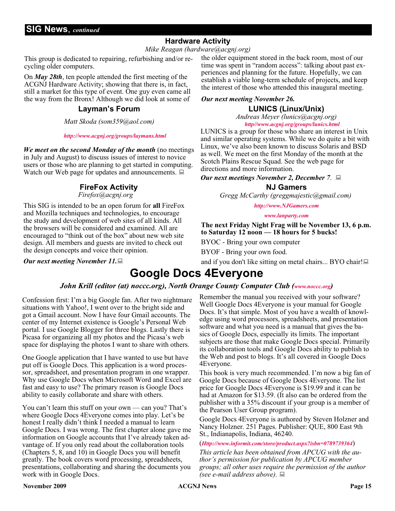#### **Hardware Activity**

*Mike Reagan (hardware@acgnj.org)*

This group is dedicated to repairing, refurbishing and/or recycling older computers.

On *May 28th*, ten people attended the first meeting of the ACGNJ Hardware Activity; showing that there is, in fact, still a market for this type of event. One guy even came all the way from the Bronx! Although we did look at some of

#### **Layman's Forum**

*Matt Skoda (som359@aol.com)*

#### *<http://www.acgnj.org/groups/laymans.html>*

*We meet on the second Monday of the month* (no meetings in July and August) to discuss issues of interest to novice users or those who are planning to get started in computing. Watch our Web page for updates and announcements.  $\Box$ 

#### **FireFox Activity**

*Firefox@acgnj.org*

This SIG is intended to be an open forum for **all** FireFox and Mozilla techniques and technologies, to encourage the study and development of web sites of all kinds. All the browsers will be considered and examined. All are encouraged to "think out of the box" about new web site design. All members and guests are invited to check out the design concepts and voice their opinion.

*Our next meeting November 11.*

the older equipment stored in the back room, most of our time was spent in "random access": talking about past experiences and planning for the future. Hopefully, we can establish a viable long-term schedule of projects, and keep the interest of those who attended this inaugural meeting.

#### *Our next meeting November 26.*

#### **LUNICS (Linux/Unix)**

*Andreas Meyer (lunics@acgnj.org) <http//www.acgnj.org/groups/lunics.html>*

LUNICS is a group for those who share an interest in Unix and similar operating systems. While we do quite a bit with Linux, we've also been known to discuss Solaris and BSD as well. We meet on the first Monday of the month at the Scotch Plains Rescue Squad. See the web page for directions and more information.

*Our next meetings November 2, December 7*.

#### **NJ Gamers**

*Gregg McCarthy (greggmajestic@gmail.com)*

*<http://www.NJGamers.com>*

*[www.lanparty.com](http://www.lanparty.com)*

**The next Friday Night Frag will be November 13, 6 p.m. to Saturday 12 noon — 18 hours for 5 bucks!**

BYOC - Bring your own computer

BYOF - Bring your own food.

and if you don't like sitting on metal chairs... BYO chair!

### **Google Docs 4Everyone**

#### *John Krill (editor (at) noccc.org), North Orange County Computer Club [\(www.noccc.org\)](http://www.noccc.org)*

Confession first: I'm a big Google fan. After two nightmare situations with Yahoo!, I went over to the bright side and got a Gmail account. Now I have four Gmail accounts. The center of my Internet existence is Google's Personal Web portal. I use Google Blogger for three blogs. Lastly there is Picasa for organizing all my photos and the Picasa's web space for displaying the photos I want to share with others.

One Google application that I have wanted to use but have put off is Google Docs. This application is a word processor, spreadsheet, and presentation program in one wrapper. Why use Google Docs when Microsoft Word and Excel are fast and easy to use? The primary reason is Google Docs ability to easily collaborate and share with others.

You can't learn this stuff on your own — can you? That's where Google Docs 4Everyone comes into play. Let's be honest I really didn't think I needed a manual to learn Google Docs. I was wrong. The first chapter alone gave me information on Google accounts that I've already taken advantage of. If you only read about the collaboration tools (Chapters 5, 8, and 10) in Google Docs you will benefit greatly. The book covers word processing, spreadsheets, presentations, collaborating and sharing the documents you work with in Google Docs.

Remember the manual you received with your software? Well Google Docs 4Everyone is your manual for Google Docs. It's that simple. Most of you have a wealth of knowledge using word processors, spreadsheets, and presentation software and what you need is a manual that gives the basics of Google Docs, especially its limits. The important subjects are those that make Google Docs special. Primarily its collaboration tools and Google Docs ability to publish to the Web and post to blogs. It's all covered in Google Docs 4Everyone.

This book is very much recommended. I'm now a big fan of Google Docs because of Google Docs 4Everyone. The list price for Google Docs 4Everyone is \$19.99 and it can be had at Amazon for \$13.59. (It also can be ordered from the publisher with a 35% discount if your group is a member of the Pearson User Group program).

Google Docs 4Everyone is authored by Steven Holzner and Nancy Holzner. 251 Pages. Publisher: QUE, 800 East 9th St., Indianapolis, Indiana, 46240.

(*<Http://www.informit.com/store/product.aspx?isbn=0789739364>*)

*This article has been obtained from APCUG with the author's permission for publication by APCUG member groups; all other uses require the permission of the author (see e-mail address above).*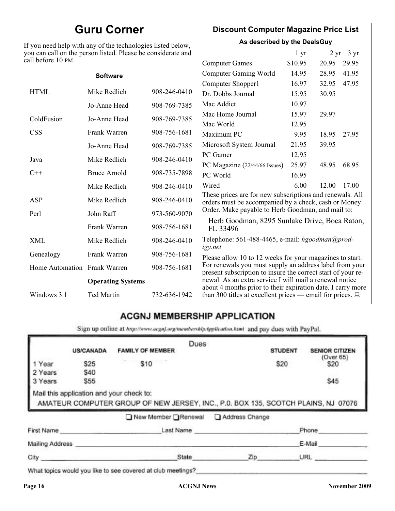### **Guru Corner**

If you need help with any of the technologies listed below, you can call on the person listed. Please be considerate and ca

#### **Discount Computer Magazine Price List**

**As described by the DealsGuy**

| ou can call on the person listed. Please be considerate and<br>ll before 10 PM. |                          |                                                   |                                                                                                                         | 1 <sub>yr</sub> |       | $2 \text{ yr}$ 3 yr |
|---------------------------------------------------------------------------------|--------------------------|---------------------------------------------------|-------------------------------------------------------------------------------------------------------------------------|-----------------|-------|---------------------|
|                                                                                 |                          |                                                   | <b>Computer Games</b>                                                                                                   | \$10.95         | 20.95 | 29.95               |
|                                                                                 | <b>Software</b>          |                                                   | <b>Computer Gaming World</b>                                                                                            | 14.95           | 28.95 | 41.95               |
|                                                                                 |                          |                                                   | Computer Shopper1                                                                                                       | 16.97           | 32.95 | 47.95               |
| <b>HTML</b>                                                                     | Mike Redlich             | 908-246-0410                                      | Dr. Dobbs Journal                                                                                                       | 15.95           | 30.95 |                     |
|                                                                                 | Jo-Anne Head             | 908-769-7385                                      | Mac Addict                                                                                                              | 10.97           |       |                     |
| ColdFusion                                                                      | Jo-Anne Head             | 908-769-7385                                      | Mac Home Journal                                                                                                        | 15.97           | 29.97 |                     |
|                                                                                 |                          |                                                   | Mac World                                                                                                               | 12.95           |       |                     |
| <b>CSS</b>                                                                      | Frank Warren             | 908-756-1681                                      | Maximum PC                                                                                                              | 9.95            | 18.95 | 27.95               |
|                                                                                 | Jo-Anne Head             | 908-769-7385                                      | Microsoft System Journal                                                                                                | 21.95           | 39.95 |                     |
| Java                                                                            | Mike Redlich             | 908-246-0410                                      | PC Gamer                                                                                                                | 12.95           |       |                     |
|                                                                                 |                          |                                                   | PC Magazine (22/44/66 Issues)                                                                                           | 25.97           | 48.95 | 68.95               |
| $C++$                                                                           | <b>Bruce Arnold</b>      | 908-735-7898                                      | PC World                                                                                                                | 16.95           |       |                     |
|                                                                                 | Mike Redlich             | 908-246-0410                                      | Wired                                                                                                                   | 6.00            | 12.00 | 17.00               |
| ASP                                                                             | Mike Redlich             | 908-246-0410                                      | These prices are for new subscriptions and renewals. All<br>orders must be accompanied by a check, cash or Money        |                 |       |                     |
| Perl<br>John Raff<br>973-560-9070                                               |                          | Order. Make payable to Herb Goodman, and mail to: |                                                                                                                         |                 |       |                     |
|                                                                                 | Frank Warren             | 908-756-1681                                      | Herb Goodman, 8295 Sunlake Drive, Boca Raton,<br>FL 33496                                                               |                 |       |                     |
| XML                                                                             | Mike Redlich             | 908-246-0410                                      | Telephone: 561-488-4465, e-mail: hgoodman@prod-<br>igy.net                                                              |                 |       |                     |
| Genealogy                                                                       | Frank Warren             | 908-756-1681                                      | Please allow 10 to 12 weeks for your magazines to start.                                                                |                 |       |                     |
| Home Automation Frank Warren                                                    |                          | 908-756-1681                                      | For renewals you must supply an address label from your<br>present subscription to insure the correct start of your re- |                 |       |                     |
|                                                                                 | <b>Operating Systems</b> |                                                   | newal. As an extra service I will mail a renewal notice<br>about 4 months prior to their expiration date. I carry more  |                 |       |                     |
| Windows 3.1                                                                     | <b>Ted Martin</b>        | 732-636-1942                                      | than 300 titles at excellent prices — email for prices. $\Box$                                                          |                 |       |                     |

#### **ACGNJ MEMBERSHIP APPLICATION**

Sign up online at http://www.acguj.org/membershipApplication.html and pay dues with PayPal.

|                 |                  |                                                                                                                               | Dues |                |                |                       |
|-----------------|------------------|-------------------------------------------------------------------------------------------------------------------------------|------|----------------|----------------|-----------------------|
|                 | <b>US/CANADA</b> | <b>FAMILY OF MEMBER</b>                                                                                                       |      |                | <b>STUDENT</b> | <b>SENIOR CITIZEN</b> |
| Year            | \$25             | \$10                                                                                                                          |      |                | \$20           | (Over 65)<br>\$20     |
| 2 Years         | \$40             |                                                                                                                               |      |                |                |                       |
| 3 Years         | \$55             |                                                                                                                               |      |                |                | \$45                  |
|                 |                  | Mail this application and your check to:<br>AMATEUR COMPUTER GROUP OF NEW JERSEY, INC., P.0. BOX 135, SCOTCH PLAINS, NJ 07076 |      |                |                |                       |
|                 |                  | ■ New Member Renewal                                                                                                          |      | Address Change |                |                       |
| First Name      |                  | Last Name                                                                                                                     |      |                |                | Phone                 |
| Mailing Address |                  |                                                                                                                               |      |                |                | E-Mail                |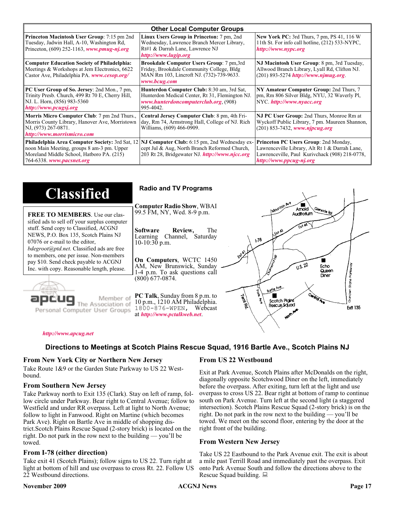| <b>Other Local Computer Groups</b>                                                                                                                                             |                                                                                                                                                           |                                                                                                                                                                      |  |  |
|--------------------------------------------------------------------------------------------------------------------------------------------------------------------------------|-----------------------------------------------------------------------------------------------------------------------------------------------------------|----------------------------------------------------------------------------------------------------------------------------------------------------------------------|--|--|
| <b>Princeton Macintosh User Group:</b> 7:15 pm 2nd<br>Tuesday, Jadwin Hall, A-10, Washington Rd,<br>Princeton, $(609)$ 252-1163, www.pmug-nj.org                               | Linux Users Group in Princeton: 7 pm, 2nd<br>Wednesday, Lawrence Branch Mercer Library,<br>Rt#1 & Darrah Lane, Lawrence NJ<br>http://www.lugip.org        | <b>New York PC:</b> 3rd Thurs, 7 pm, PS 41, 116 W<br>11th St. For info call hotline, (212) 533-NYPC,<br>http://www.nypc.org                                          |  |  |
| <b>Computer Education Society of Philadelphia:</b><br>Meetings & Workshops at Jem Electronics, 6622<br>Castor Ave, Philadelphia PA. www.cesop.org/                             | <b>Brookdale Computer Users Group:</b> 7 pm, 3rd<br>Friday, Brookdale Community College, Bldg<br>MAN Rm 103, Lincroft NJ. (732)-739-9633.<br>www.bcug.com | NJ Macintosh User Group: 8 pm, 3rd Tuesday,<br>Allwood Branch Library, Lyall Rd, Clifton NJ.<br>$(201)$ 893-5274 http://www.njmug.org                                |  |  |
| PC User Group of So. Jersey: 2nd Mon., 7 pm,<br>Trinity Presb. Church, 499 Rt 70 E, Cherry Hill,<br>NJ. L. Horn, (856) 983-5360<br>http://www.pcugsj.org                       | Hunterdon Computer Club: 8:30 am, 3rd Sat,<br>Hunterdon Medical Center, Rt 31, Flemington NJ.<br>www.hunterdoncomputerclub.org. (908)<br>995-4042.        | NY Amateur Computer Group: 2nd Thurs, 7<br>pm, Rm 806 Silver Bldg, NYU, 32 Waverly Pl,<br>NYC http://www.nyacc.org                                                   |  |  |
| Morris Micro Computer Club: 7 pm 2nd Thurs.,<br>Morris County Library, Hanover Ave, Morristown<br>NJ, (973) 267-0871.<br>http://www.morrismicro.com                            | Central Jersey Computer Club: 8 pm, 4th Fri-<br>day, Rm 74, Armstrong Hall, College of NJ. Rich<br>Williams, (609) 466-0909.                              | NJ PC User Group: 2nd Thurs, Monroe Rm at<br>Wyckoff Public Library, 7 pm. Maureen Shannon,<br>$(201)$ 853-7432, www.njpcug.org                                      |  |  |
| <b>Philadelphia Area Computer Society: 3rd Sat, 12</b><br>noon Main Meeting, groups 8 am-3 pm. Upper<br>Moreland Middle School, Hatboro PA. (215)<br>764-6338. www.pacsnet.org | NJ Computer Club: 6:15 pm, 2nd Wednesday ex-<br>cept Jul & Aug, North Branch Reformed Church,<br>203 Rt 28, Bridgewater NJ. http://www.njcc.org           | Princeton PC Users Group: 2nd Monday,<br>Lawrenceville Library, Alt Rt 1 & Darrah Lane,<br>Lawrenceville, Paul Kurivchack (908) 218-0778,<br>http://www.ppcug-nj.org |  |  |

| <b>Classified</b>                                                                                                                                                                                                                                                                                                                                                                             | <b>Radio and TV Programs</b>                                                                                                                                                                                                                                                                                                                                          |
|-----------------------------------------------------------------------------------------------------------------------------------------------------------------------------------------------------------------------------------------------------------------------------------------------------------------------------------------------------------------------------------------------|-----------------------------------------------------------------------------------------------------------------------------------------------------------------------------------------------------------------------------------------------------------------------------------------------------------------------------------------------------------------------|
| <b>FREE TO MEMBERS.</b> Use our clas-<br>sified ads to sell off your surplus computer<br>stuff. Send copy to Classified, ACGNJ<br>NEWS, P.O. Box 135, Scotch Plains NJ<br>07076 or e-mail to the editor,<br><i>bdegroot@ptd.net.</i> Classified ads are free<br>to members, one per issue. Non-members<br>pay \$10. Send check payable to ACGNJ<br>Inc. with copy. Reasonable length, please. | IMOUNTON AVE<br><b>Computer Radio Show, WBAI</b><br>Amold<br>Slenside Rd<br>99.5 FM, NY, Wed. 8-9 p.m.<br>Auditorium<br>The<br><b>Software</b><br>Review,<br>L Exh A3<br>Channel, Saturday<br>Learning<br>$\sqrt{3}$<br>$10-10:30$ p.m.<br>On Computers, WCTC 1450<br>0.5.22<br>AM, New Brunswick, Sunday<br>Echo<br>Queen<br>1-4 p.m. To ask questions call<br>Diner |
| Member of<br>ociation of<br>Personal Computer User Groups                                                                                                                                                                                                                                                                                                                                     | (800) 677-0874.<br>Borle Ave<br>D<br><b>Cantrol Ave</b><br><b>PC Talk</b> , Sunday from 8 p.m. to<br>Territory<br>Scotch Plains<br>10 p.m., 1210 AM Philadelphia.<br>Rescue Sound<br><b>Ext 135</b><br>1800-876-WPEN, Webcast<br>at http://www.pctalkweb.net.<br>$\mathbf{v}_{q}$                                                                                     |

#### *<http://www.apcug.net>*

#### **Directions to Meetings at Scotch Plains Rescue Squad, 1916 Bartle Ave., Scotch Plains NJ**

#### **From New York City or Northern New Jersey**

Take Route 1&9 or the Garden State Parkway to US 22 Westbound.

#### **From Southern New Jersey**

Take Parkway north to Exit 135 (Clark). Stay on left of ramp, follow circle under Parkway. Bear right to Central Avenue; follow to Westfield and under RR overpass. Left at light to North Avenue; follow to light in Fanwood. Right on Martine (which becomes Park Ave). Right on Bartle Ave in middle of shopping district.Scotch Plains Rescue Squad (2-story brick) is located on the right. Do not park in the row next to the building — you'll be towed.

#### **From I-78 (either direction)**

Take exit 41 (Scotch Plains); follow signs to US 22. Turn right at light at bottom of hill and use overpass to cross Rt. 22. Follow US 22 Westbound directions.

#### **November 2009 CONGREGATION Page 17 Page 17 Page 17 Page 17**

#### **From US 22 Westbound**

Exit at Park Avenue, Scotch Plains after McDonalds on the right, diagonally opposite Scotchwood Diner on the left, immediately before the overpass. After exiting, turn left at the light and use overpass to cross US 22. Bear right at bottom of ramp to continue south on Park Avenue. Turn left at the second light (a staggered intersection). Scotch Plains Rescue Squad (2-story brick) is on the right. Do not park in the row next to the building — you'll be towed. We meet on the second floor, entering by the door at the right front of the building.

#### **From Western New Jersey**

Take US 22 Eastbound to the Park Avenue exit. The exit is about a mile past Terrill Road and immediately past the overpass. Exit onto Park Avenue South and follow the directions above to the Rescue Squad building.